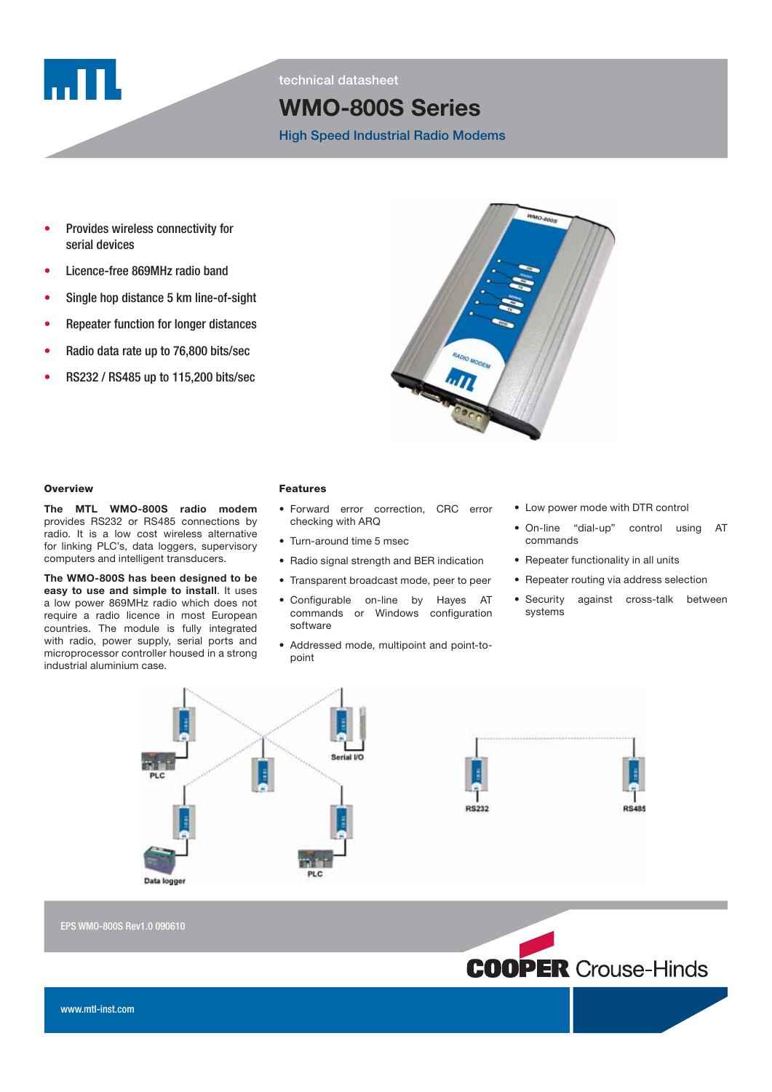

technical datasheet

# WMO-800S Series

High Speed Industrial Radio Modems

- Provides wireless connectivity for serial devices
- Licence-free 869MHz radio band
- Single hop distance 5 km line-of-sight
- Repeater function for longer distances
- Radio data rate up to 76,800 bits/sec
- RS232 / RS485 up to 115,200 bits/sec



#### **Overview**

The MTL WMO-800S radio modem provides RS232 or RS485 connections by radio. It is a low cost wireless alternative for linking PLC's, data loggers, supervisory computers and intelligent transducers.

The WMO-800S has been designed to be easy to use and simple to install. It uses a low power 869MHz radio which does not require a radio licence in most European countries. The module is fully integrated with radio, power supply, serial ports and microprocessor controller housed in a strong industrial aluminium case.

# **Features**

- Forward error correction, CRC error checking with ARQ
- Turn-around time 5 msec
- Radio signal strength and BER indication
- Transparent broadcast mode, peer to peer
- Configurable on-line by Hayes AT commands or Windows configuration software
- Addressed mode, multipoint and point-topoint
- Low power mode with DTR control
- On-line "dial-up" control using AT commands
- Repeater functionality in all units
- Repeater routing via address selection
- Security against cross-talk between systems



EPS WMO-800S Rev1.0 090610